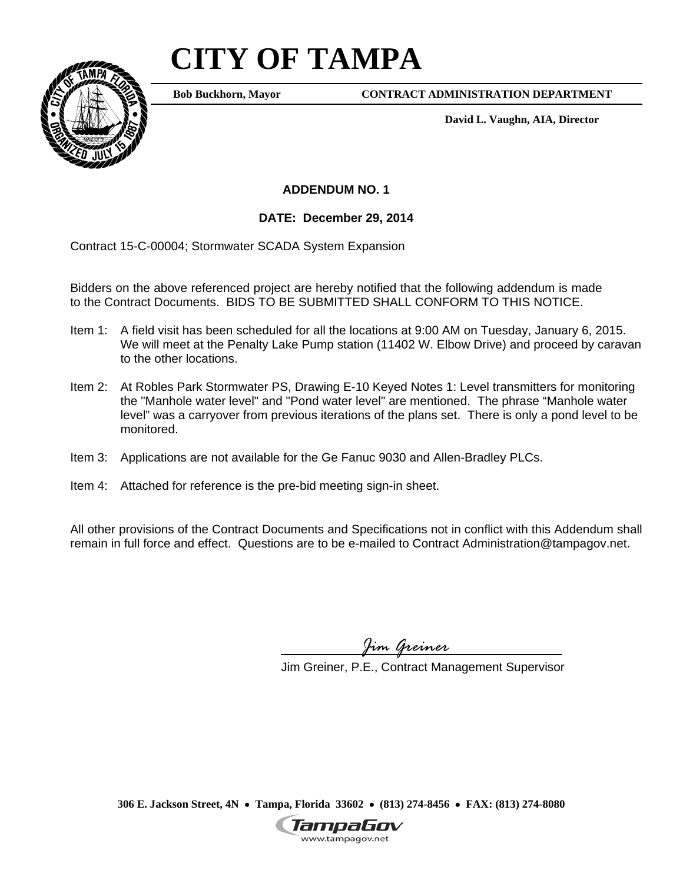## **CITY OF TAMPA**



**Bob Buckhorn, Mayor**

**CONTRACT ADMINISTRATION DEPARTMENT** 

**David L. Vaughn, AIA, Director** 

**ADDENDUM NO. 1** 

**DATE: December 29, 2014** 

Contract 15-C-00004; Stormwater SCADA System Expansion

Bidders on the above referenced project are hereby notified that the following addendum is made to the Contract Documents. BIDS TO BE SUBMITTED SHALL CONFORM TO THIS NOTICE.

- Item 1: A field visit has been scheduled for all the locations at 9:00 AM on Tuesday, January 6, 2015. We will meet at the Penalty Lake Pump station (11402 W. Elbow Drive) and proceed by caravan to the other locations.
- Item 2: At Robles Park Stormwater PS, Drawing E-10 Keyed Notes 1: Level transmitters for monitoring the "Manhole water level" and "Pond water level" are mentioned. The phrase "Manhole water level" was a carryover from previous iterations of the plans set. There is only a pond level to be monitored.
- Item 3: Applications are not available for the Ge Fanuc 9030 and Allen-Bradley PLCs.
- Item 4: Attached for reference is the pre-bid meeting sign-in sheet.

All other provisions of the Contract Documents and Specifications not in conflict with this Addendum shall remain in full force and effect. Questions are to be e-mailed to Contract Administration@tampagov.net.

*Jim Greiner* 

Jim Greiner, P.E., Contract Management Supervisor

**306 E. Jackson Street, 4N Tampa, Florida 33602 (813) 274-8456 FAX: (813) 274-8080**